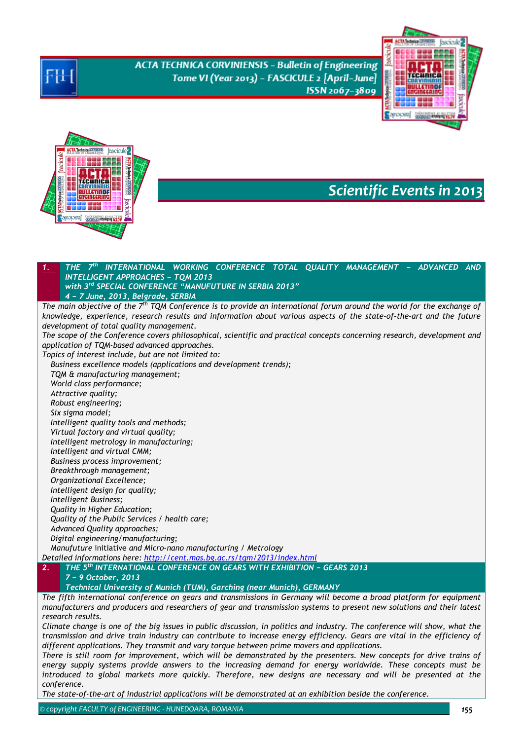**ACTA TECHNICA CORVINIENSIS - Bulletin of Engineering** Tome VI (Year 2013) - FASCICULE 2 [April-June] ISSN 2067-3809





# *Scientific Events in 2013*

*1. THE 7th INTERNATIONAL WORKING CONFERENCE TOTAL QUALITY MANAGEMENT − ADVANCED AND INTELLIGENT APPROACHES − TQM 2013 with 3rd SPECIAL CONFERENCE "MANUFUTURE IN SERBIA 2013" 4 − 7 June, 2013, Belgrade, SERBIA The main objective of the 7th TQM Conference is to provide an international forum around the world for the exchange of knowledge, experience, research results and information about various aspects of the state-of-the-art and the future development of total quality management. The scope of the Conference covers philosophical, scientific and practical concepts concerning research, development and application of TQM-based advanced approaches. Topics of interest include, but are not limited to: Business excellence models (applications and development trends); TQM & manufacturing management; World class performance; Attractive quality; Robust engineering; Six sigma model; Intelligent quality tools and methods; Virtual factory and virtual quality; Intelligent metrology in manufacturing; Intelligent and virtual CMM; Business process improvement; Breakthrough management; Organizational Excellence; Intelligent design for quality; Intelligent Business; Quality in Higher Education; Quality of the Public Services / health care; Advanced Quality approaches; Digital engineering/manufacturing; Manufuture* initiative *and Micro-nano manufacturing / Metrology Detailed informations here: http://cent.mas.bg.ac.rs/tqm/2013/index.html 2. THE 5th INTERNATIONAL CONFERENCE ON GEARS WITH EXHIBITION − GEARS 2013 7 − 9 October, 2013 Technical University of Munich (TUM), Garching (near Munich), GERMANY The fifth international conference on gears and transmissions in Germany will become a broad platform for equipment manufacturers and producers and researchers of gear and transmission systems to present new solutions and their latest* 

*research results.* 

*Climate change is one of the big issues in public discussion, in politics and industry. The conference will show, what the transmission and drive train industry can contribute to increase energy efficiency. Gears are vital in the efficiency of different applications. They transmit and vary torque between prime movers and applications.* 

*There is still room for improvement, which will be demonstrated by the presenters. New concepts for drive trains of energy supply systems provide answers to the increasing demand for energy worldwide. These concepts must be introduced to global markets more quickly. Therefore, new designs are necessary and will be presented at the conference.* 

*The state-of-the-art of industrial applications will be demonstrated at an exhibition beside the conference.*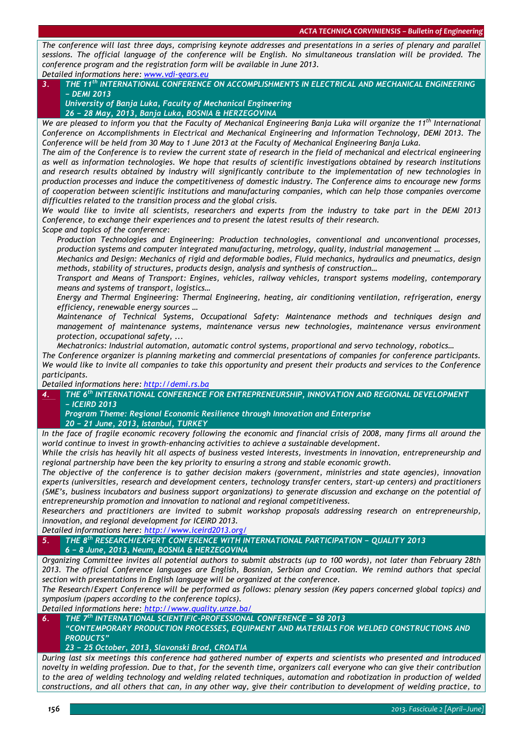*The conference will last three days, comprising keynote addresses and presentations in a series of plenary and parallel sessions. The official language of the conference will be English. No simultaneous translation will be provided. The conference program and the registration form will be available in June 2013. Detailed informations here: www.vdi-gears.eu*

### *3. THE 11th INTERNATIONAL CONFERENCE ON ACCOMPLISHMENTS IN ELECTRICAL AND MECHANICAL ENGINEERING − DEMI 2013 University of Banja Luka, Faculty of Mechanical Engineering*

*26 − 28 May, 2013, Banja Luka, BOSNIA & HERZEGOVINA* 

*We are pleased to inform you that the Faculty of Mechanical Engineering Banja Luka will organize the 11th International Conference on Accomplishments in Electrical and Mechanical Engineering and Information Technology, DEMI 2013. The Conference will be held from 30 May to 1 June 2013 at the Faculty of Mechanical Engineering Banja Luka.* 

*The aim of the Conference is to review the current state of research in the field of mechanical and electrical engineering as well as information technologies. We hope that results of scientific investigations obtained by research institutions and research results obtained by industry will significantly contribute to the implementation of new technologies in production processes and induce the competitiveness of domestic industry. The Conference aims to encourage new forms of cooperation between scientific institutions and manufacturing companies, which can help those companies overcome difficulties related to the transition process and the global crisis.* 

*We would like to invite all scientists, researchers and experts from the industry to take part in the DEMI 2013 Conference, to exchange their experiences and to present the latest results of their research.* 

*Scope and topics of the conference:* 

 *Production Technologies and Engineering: Production technologies, conventional and unconventional processes, production systems and computer integrated manufacturing, metrology, quality, industrial management …* 

 *Mechanics and Design: Mechanics of rigid and deformable bodies, Fluid mechanics, hydraulics and pneumatics, design methods, stability of structures, products design, analysis and synthesis of construction…* 

 *Transport and Means of Transport: Engines, vehicles, railway vehicles, transport systems modeling, contemporary means and systems of transport, logistics…* 

 *Energy and Thermal Engineering: Thermal Engineering, heating, air conditioning ventilation, refrigeration, energy efficiency, renewable energy sources …* 

 *Maintenance of Technical Systems, Occupational Safety: Maintenance methods and techniques design and management of maintenance systems, maintenance versus new technologies, maintenance versus environment protection, occupational safety, ...* 

*Mechatronics: Industrial automation, automatic control systems, proportional and servo technology, robotics…* 

*The Conference organizer is planning marketing and commercial presentations of companies for conference participants. We would like to invite all companies to take this opportunity and present their products and services to the Conference participants.* 

*Detailed informations here: http://demi.rs.ba*

*4. THE 6th INTERNATIONAL CONFERENCE FOR ENTREPRENEURSHIP, INNOVATION AND REGIONAL DEVELOPMENT − ICEIRD 2013* 

*Program Theme: Regional Economic Resilience through Innovation and Enterprise 20 − 21 June, 2013, Istanbul, TURKEY* 

*In the face of fragile economic recovery following the economic and financial crisis of 2008, many firms all around the world continue to invest in growth-enhancing activities to achieve a sustainable development.* 

*While the crisis has heavily hit all aspects of business vested interests, investments in innovation, entrepreneurship and regional partnership have been the key priority to ensuring a strong and stable economic growth.* 

*The objective of the conference is to gather decision makers (government, ministries and state agencies), innovation experts (universities, research and development centers, technology transfer centers, start-up centers) and practitioners (SME's, business incubators and business support organizations) to generate discussion and exchange on the potential of entrepreneurship promotion and innovation to national and regional competitiveness.* 

*Researchers and practitioners are invited to submit workshop proposals addressing research on entrepreneurship, innovation, and regional development for ICEIRD 2013.* 

*Detailed informations here: http://www.iceird2013.org/*

*5. THE 8th RESEARCH/EXPERT CONFERENCE WITH INTERNATIONAL PARTICIPATION − QUALITY 2013 6 − 8 June, 2013, Neum, BOSNIA & HERZEGOVINA*

*Organizing Committee invites all potential authors to submit abstracts (up to 100 words), not later than February 28th 2013. The official Conference languages are English, Bosnian, Serbian and Croatian. We remind authors that special section with presentations in English language will be organized at the conference.* 

*The Research/Expert Conference will be performed as follows: plenary session (Key papers concerned global topics) and symposium (papers according to the conference topics).* 

*Detailed informations here: http://www.quality.unze.ba/*

*6. THE 7th INTERNATIONAL SCIENTIFIC-PROFESSIONAL CONFERENCE − SB 2013* 

*"CONTEMPORARY PRODUCTION PROCESSES, EQUIPMENT AND MATERIALS FOR WELDED CONSTRUCTIONS AND PRODUCTS"* 

*23 − 25 October, 2013, Slavonski Brod, CROATIA*

*During last six meetings this conference had gathered number of experts and scientists who presented and introduced novelty in welding profession. Due to that, for the seventh time, organizers call everyone who can give their contribution to the area of welding technology and welding related techniques, automation and robotization in production of welded constructions, and all others that can, in any other way, give their contribution to development of welding practice, to*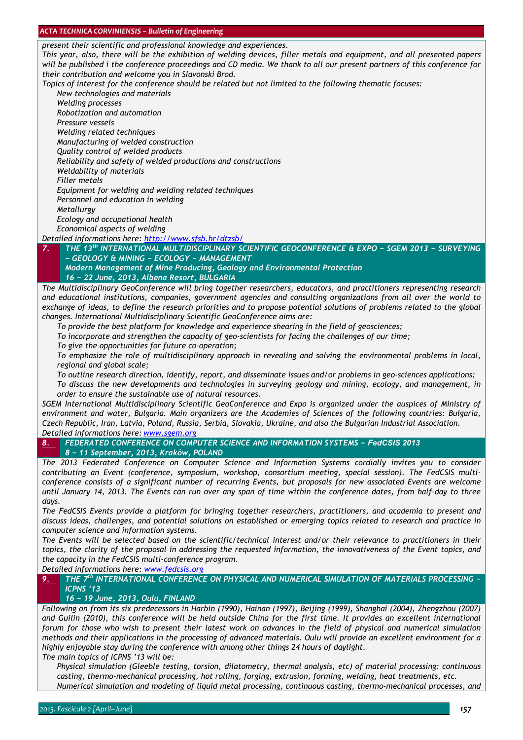*present their scientific and professional knowledge and experiences.* 

*This year, also, there will be the exhibition of welding devices, filler metals and equipment, and all presented papers will be published i the conference proceedings and CD media. We thank to all our present partners of this conference for their contribution and welcome you in Slavonski Brod.* 

*Topics of interest for the conference should be related but not limited to the following thematic focuses:* 

 *New technologies and materials Welding processes* 

*Robotization and automation* 

*Pressure vessels* 

*Welding related techniques* 

*Manufacturing of welded construction* 

*Quality control of welded products* 

*Reliability and safety of welded productions and constructions* 

*Weldability of materials* 

*Filler metals* 

*Equipment for welding and welding related techniques* 

*Personnel and education in welding* 

*Metallurgy* 

*Ecology and occupational health* 

*Economical aspects of welding* 

*Detailed informations here: http://www.sfsb.hr/dtzsb/*

*7. THE 13th INTERNATIONAL MULTIDISCIPLINARY SCIENTIFIC GEOCONFERENCE & EXPO − SGEM 2013 − SURVEYING − GEOLOGY & MINING − ECOLOGY − MANAGEMENT*

*Modern Management of Mine Producing, Geology and Environmental Protection 16 − 22 June, 2013, Albena Resort, BULGARIA* 

*The Multidisciplinary GeoConference will bring together researchers, educators, and practitioners representing research and educational institutions, companies, government agencies and consulting organizations from all over the world to exchange of ideas, to define the research priorities and to propose potential solutions of problems related to the global changes. International Multidisciplinary Scientific GeoConference aims are:* 

*To provide the best platform for knowledge and experience shearing in the field of geosciences;* 

*To incorporate and strengthen the capacity of geo-scientists for facing the challenges of our time;* 

*To give the opportunities for future co-operation;* 

 *To emphasize the role of multidisciplinary approach in revealing and solving the environmental problems in local, regional and global scale;* 

*To outline research direction, identify, report, and disseminate issues and/or problems in geo-sciences applications;* 

 *To discuss the new developments and technologies in surveying geology and mining, ecology, and management, in order to ensure the sustainable use of natural resources.* 

*SGEM International Multidisciplinary Scientific GeoConference and Expo is organized under the auspices of Ministry of environment and water, Bulgaria. Main organizers are the Academies of Sciences of the following countries: Bulgaria, Czech Republic, Iran, Latvia, Poland, Russia, Serbia, Slovakia, Ukraine, and also the Bulgarian Industrial Association. Detailed informations here: www.sgem.org*

*8. FEDERATED CONFERENCE ON COMPUTER SCIENCE AND INFORMATION SYSTEMS − FedCSIS 2013 8 − 11 September, 2013, Kraków, POLAND*

*The 2013 Federated Conference on Computer Science and Information Systems cordially invites you to consider contributing an Event (conference, symposium, workshop, consortium meeting, special session). The FedCSIS multiconference consists of a significant number of recurring Events, but proposals for new associated Events are welcome until January 14, 2013. The Events can run over any span of time within the conference dates, from half-day to three days.* 

*The FedCSIS Events provide a platform for bringing together researchers, practitioners, and academia to present and discuss ideas, challenges, and potential solutions on established or emerging topics related to research and practice in computer science and information systems.* 

*The Events will be selected based on the scientific/technical interest and/or their relevance to practitioners in their topics, the clarity of the proposal in addressing the requested information, the innovativeness of the Event topics, and the capacity in the FedCSIS multi-conference program.* 

*Detailed informations here: www.fedcsis.org*

*9. THE 7th INTERNATIONAL CONFERENCE ON PHYSICAL AND NUMERICAL SIMULATION OF MATERIALS PROCESSING − ICPNS '13* 

# *16 − 19 June, 2013, Oulu, FINLAND*

*Following on from its six predecessors in Harbin (1990), Hainan (1997), Beijing (1999), Shanghai (2004), Zhengzhou (2007) and Guilin (2010), this conference will be held outside China for the first time. It provides an excellent international forum for those who wish to present their latest work on advances in the field of physical and numerical simulation methods and their applications in the processing of advanced materials. Oulu will provide an excellent environment for a highly enjoyable stay during the conference with among other things 24 hours of daylight. The main topics of ICPNS '13 will be:* 

 *Physical simulation (Gleeble testing, torsion, dilatometry, thermal analysis, etc) of material processing: continuous casting, thermo-mechanical processing, hot rolling, forging, extrusion, forming, welding, heat treatments, etc. Numerical simulation and modeling of liquid metal processing, continuous casting, thermo-mechanical processes, and*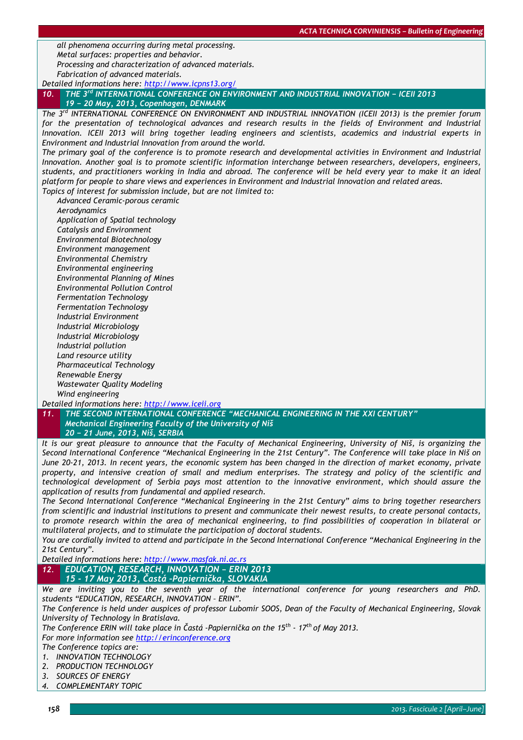*all phenomena occurring during metal processing. Metal surfaces: properties and behavior. Processing and characterization of advanced materials.* 

*Fabrication of advanced materials.* 

*Detailed informations here: http://www.icpns13.org/ 10. THE 3rd INTERNATIONAL CONFERENCE ON ENVIRONMENT AND INDUSTRIAL INNOVATION − ICEII 2013 19 − 20 May, 2013, Copenhagen, DENMARK* 

*The 3rd INTERNATIONAL CONFERENCE ON ENVIRONMENT AND INDUSTRIAL INNOVATION (ICEII 2013) is the premier forum*  for the presentation of technological advances and research results in the fields of Environment and Industrial *Innovation. ICEII 2013 will bring together leading engineers and scientists, academics and industrial experts in Environment and Industrial Innovation from around the world.* 

*The primary goal of the conference is to promote research and developmental activities in Environment and Industrial Innovation. Another goal is to promote scientific information interchange between researchers, developers, engineers, students, and practitioners working in India and abroad. The conference will be held every year to make it an ideal platform for people to share views and experiences in Environment and Industrial Innovation and related areas. Topics of interest for submission include, but are not limited to:* 

 *Advanced Ceramic-porous ceramic Aerodynamics Application of Spatial technology Catalysis and Environment Environmental Biotechnology Environment management Environmental Chemistry Environmental engineering Environmental Planning of Mines Environmental Pollution Control Fermentation Technology Fermentation Technology Industrial Environment Industrial Microbiology Industrial Microbiology Industrial pollution Land resource utility* 

 *Pharmaceutical Technology Renewable Energy Wastewater Quality Modeling Wind engineering* 

*Detailed informations here: http://www.iceii.org*

*11. THE SECOND INTERNATIONAL CONFERENCE "MECHANICAL ENGINEERING IN THE XXI CENTURY" Mechanical Engineering Faculty of the University of Niš 20 − 21 June, 2013, Niš, SERBIA*

*It is our great pleasure to announce that the Faculty of Mechanical Engineering, University of Niš, is organizing the Second International Conference "Mechanical Engineering in the 21st Century". The Conference will take place in Niš on June 20-21, 2013. In recent years, the economic system has been changed in the direction of market economy, private*  property, and intensive creation of small and medium enterprises. The strategy and policy of the scientific and *technological development of Serbia pays most attention to the innovative environment, which should assure the application of results from fundamental and applied research.* 

*The Second International Conference "Mechanical Engineering in the 21st Century" aims to bring together researchers from scientific and industrial institutions to present and communicate their newest results, to create personal contacts, to promote research within the area of mechanical engineering, to find possibilities of cooperation in bilateral or multilateral projects, and to stimulate the participation of doctoral students.* 

*You are cordially invited to attend and participate in the Second International Conference "Mechanical Engineering in the 21st Century".* 

*Detailed informations here: http://www.masfak.ni.ac.rs*

*12. EDUCATION, RESEARCH, INNOVATION − ERIN 2013 15 - 17 May 2013, Častá –Papiernička, SLOVAKIA*

*We are inviting you to the seventh year of the international conference for young researchers and PhD. students "EDUCATION, RESEARCH, INNOVATION – ERIN".*

*The Conference is held under auspices of professor Lubomír SOOS, Dean of the Faculty of Mechanical Engineering, Slovak University of Technology in Bratislava.* 

*The Conference ERIN will take place in Častá -Papiernička on the 15th - 17th of May 2013. For more information see http://erinconference.org* 

*The Conference topics are:* 

- *1. INNOVATION TECHNOLOGY*
- *2. PRODUCTION TECHNOLOGY*
- *3. SOURCES OF ENERGY*
- *4. COMPLEMENTARY TOPIC*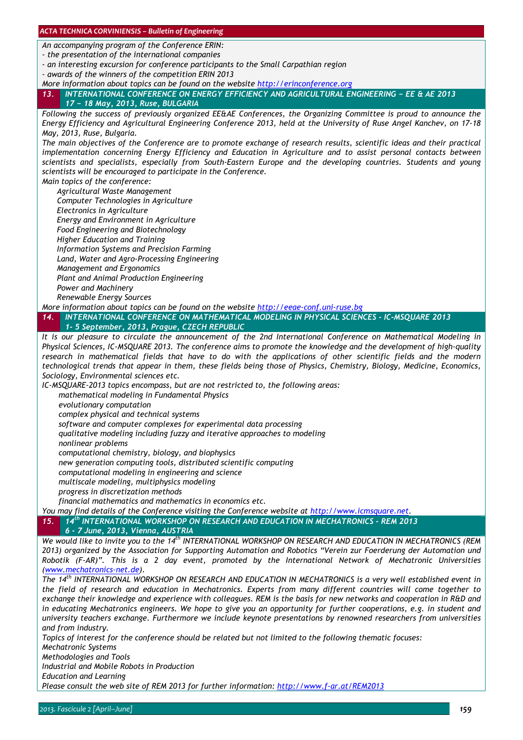*An accompanying program of the Conference ERIN:* 

*- the presentation of the international companies* 

*- an interesting excursion for conference participants to the Small Carpathian region* 

*- awards of the winners of the competition ERIN 2013* 

*More information about topics can be found on the website http://erinconference.org* 

*13. INTERNATIONAL CONFERENCE ON ENERGY EFFICIENCY AND AGRICULTURAL ENGINEERING − EE & AE 2013 17 − 18 May, 2013, Ruse, BULGARIA*

*Following the success of previously organized EE&AE Conferences, the Organizing Committee is proud to announce the Energy Efficiency and Agricultural Engineering Conference 2013, held at the University of Ruse Angel Kanchev, on 17-18 May, 2013, Ruse, Bulgaria.* 

*The main objectives of the Conference are to promote exchange of research results, scientific ideas and their practical implementation concerning Energy Efficiency and Education in Agriculture and to assist personal contacts between scientists and specialists, especially from South-Eastern Europe and the developing countries. Students and young scientists will be encouraged to participate in the Conference.* 

*Main topics of the conference:* 

 *Agricultural Waste Management Computer Technologies in Agriculture Electronics in Agriculture Energy and Environment in Agriculture Food Engineering and Biotechnology* 

*Higher Education and Training* 

*Information Systems and Precision Farming* 

*Land, Water and Agro-Processing Engineering* 

*Management and Ergonomics* 

 *Plant and Animal Production Engineering Power and Machinery* 

*Renewable Energy Sources* 

*More information about topics can be found on the website http://eeae-conf.uni-ruse.bg*

*14. INTERNATIONAL CONFERENCE ON MATHEMATICAL MODELING IN PHYSICAL SCIENCES - IC-MSQUARE 2013 1- 5 September, 2013, Prague, CZECH REPUBLIC* 

*It is our pleasure to circulate the announcement of the 2nd International Conference on Mathematical Modeling in Physical Sciences, IC-MSQUARE 2013. The conference aims to promote the knowledge and the development of high-quality research in mathematical fields that have to do with the applications of other scientific fields and the modern technological trends that appear in them, these fields being those of Physics, Chemistry, Biology, Medicine, Economics, Sociology, Environmental sciences etc.* 

*IC-MSQUARE-2013 topics encompass, but are not restricted to, the following areas:* 

*mathematical modeling in Fundamental Physics* 

*evolutionary computation* 

*complex physical and technical systems* 

*software and computer complexes for experimental data processing* 

*qualitative modeling including fuzzy and iterative approaches to modeling* 

*nonlinear problems* 

*computational chemistry, biology, and biophysics* 

*new generation computing tools, distributed scientific computing* 

*computational modeling in engineering and science* 

*multiscale modeling, multiphysics modeling* 

*progress in discretization methods* 

*financial mathematics and mathematics in economics etc.* 

*You may find details of the Conference visiting the Conference website at http://www.icmsquare.net*.

*15. 14th INTERNATIONAL WORKSHOP ON RESEARCH AND EDUCATION IN MECHATRONICS - REM 2013* 

*6 - 7 June, 2013, Vienna, AUSTRIA* 

*We would like to invite you to the 14th INTERNATIONAL WORKSHOP ON RESEARCH AND EDUCATION IN MECHATRONICS (REM 2013) organized by the Association for Supporting Automation and Robotics "Verein zur Foerderung der Automation und Robotik (F-AR)". This is a 2 day event, promoted by the International Network of Mechatronic Universities (www.mechatronics-net.de).* 

*The 14th INTERNATIONAL WORKSHOP ON RESEARCH AND EDUCATION IN MECHATRONICS is a very well established event in the field of research and education in Mechatronics. Experts from many different countries will come together to exchange their knowledge and experience with colleagues. REM is the basis for new networks and cooperation in R&D and in educating Mechatronics engineers. We hope to give you an opportunity for further cooperations, e.g. in student and university teachers exchange. Furthermore we include keynote presentations by renowned researchers from universities and from industry.* 

*Topics of interest for the conference should be related but not limited to the following thematic focuses: Mechatronic Systems* 

*Methodologies and Tools* 

*Industrial and Mobile Robots in Production* 

*Education and Learning* 

*Please consult the web site of REM 2013 for further information: http://www.f-ar.at/REM2013*